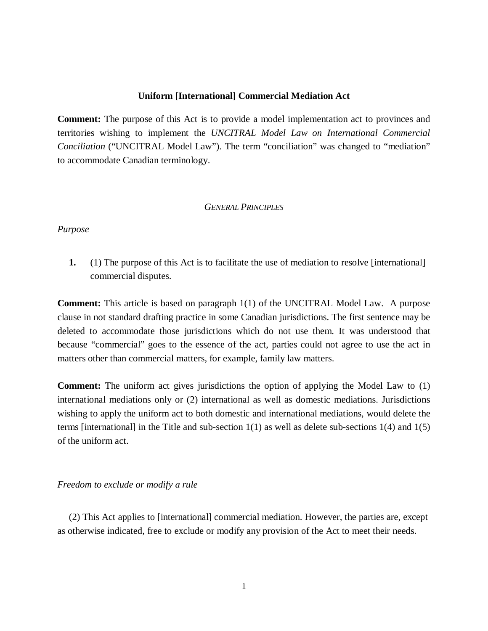## **Uniform [International] Commercial Mediation Act**

**Comment:** The purpose of this Act is to provide a model implementation act to provinces and territories wishing to implement the *UNCITRAL Model Law on International Commercial Conciliation* ("UNCITRAL Model Law"). The term "conciliation" was changed to "mediation" to accommodate Canadian terminology.

### *GENERAL PRINCIPLES*

### *Purpose*

**1.** (1) The purpose of this Act is to facilitate the use of mediation to resolve [international] commercial disputes.

**Comment:** This article is based on paragraph 1(1) of the UNCITRAL Model Law. A purpose clause in not standard drafting practice in some Canadian jurisdictions. The first sentence may be deleted to accommodate those jurisdictions which do not use them. It was understood that because "commercial" goes to the essence of the act, parties could not agree to use the act in matters other than commercial matters, for example, family law matters.

**Comment:** The uniform act gives jurisdictions the option of applying the Model Law to (1) international mediations only or (2) international as well as domestic mediations. Jurisdictions wishing to apply the uniform act to both domestic and international mediations, would delete the terms [international] in the Title and sub-section  $1(1)$  as well as delete sub-sections  $1(4)$  and  $1(5)$ of the uniform act.

# *Freedom to exclude or modify a rule*

(2) This Act applies to [international] commercial mediation. However, the parties are, except as otherwise indicated, free to exclude or modify any provision of the Act to meet their needs.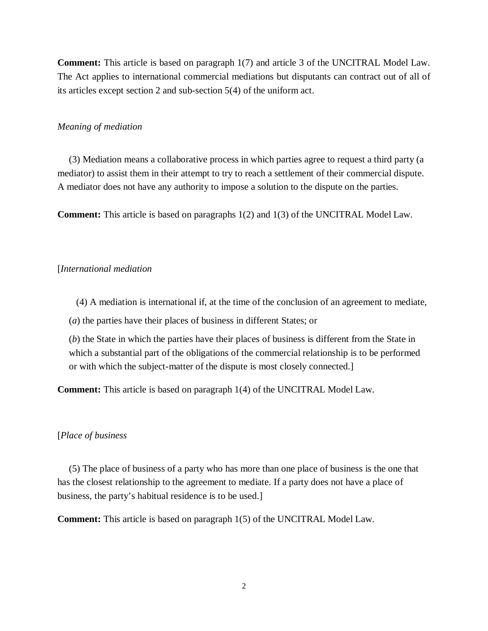**Comment:** This article is based on paragraph 1(7) and article 3 of the UNCITRAL Model Law. The Act applies to international commercial mediations but disputants can contract out of all of its articles except section 2 and sub-section 5(4) of the uniform act.

### *Meaning of mediation*

(3) Mediation means a collaborative process in which parties agree to request a third party (a mediator) to assist them in their attempt to try to reach a settlement of their commercial dispute. A mediator does not have any authority to impose a solution to the dispute on the parties.

**Comment:** This article is based on paragraphs 1(2) and 1(3) of the UNCITRAL Model Law.

#### [*International mediation*

(4) A mediation is international if, at the time of the conclusion of an agreement to mediate,

(*a*) the parties have their places of business in different States; or

(*b*) the State in which the parties have their places of business is different from the State in which a substantial part of the obligations of the commercial relationship is to be performed or with which the subject-matter of the dispute is most closely connected.]

**Comment:** This article is based on paragraph 1(4) of the UNCITRAL Model Law.

#### [*Place of business*

(5) The place of business of a party who has more than one place of business is the one that has the closest relationship to the agreement to mediate. If a party does not have a place of business, the party's habitual residence is to be used.]

**Comment:** This article is based on paragraph 1(5) of the UNCITRAL Model Law.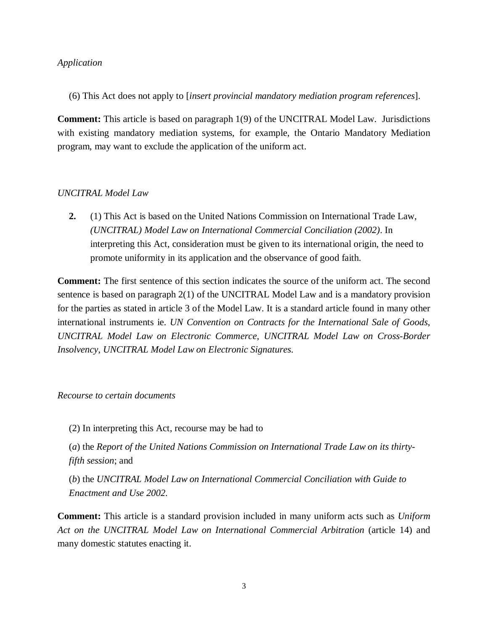# *Application*

(6) This Act does not apply to [*insert provincial mandatory mediation program references*].

**Comment:** This article is based on paragraph 1(9) of the UNCITRAL Model Law. Jurisdictions with existing mandatory mediation systems, for example, the Ontario Mandatory Mediation program, may want to exclude the application of the uniform act.

# *UNCITRAL Model Law*

**2.** (1) This Act is based on the United Nations Commission on International Trade Law, *(UNCITRAL) Model Law on International Commercial Conciliation (2002)*. In interpreting this Act, consideration must be given to its international origin, the need to promote uniformity in its application and the observance of good faith.

**Comment:** The first sentence of this section indicates the source of the uniform act. The second sentence is based on paragraph 2(1) of the UNCITRAL Model Law and is a mandatory provision for the parties as stated in article 3 of the Model Law. It is a standard article found in many other international instruments ie. *UN Convention on Contracts for the International Sale of Goods*, *UNCITRAL Model Law on Electronic Commerce*, *UNCITRAL Model Law on Cross-Border Insolvency*, *UNCITRAL Model Law on Electronic Signatures*.

### *Recourse to certain documents*

(2) In interpreting this Act, recourse may be had to

(*a*) the *Report of the United Nations Commission on International Trade Law on its thirtyfifth session*; and

(*b*) the *UNCITRAL Model Law on International Commercial Conciliation with Guide to Enactment and Use 2002*.

**Comment:** This article is a standard provision included in many uniform acts such as *Uniform Act on the UNCITRAL Model Law on International Commercial Arbitration* (article 14) and many domestic statutes enacting it.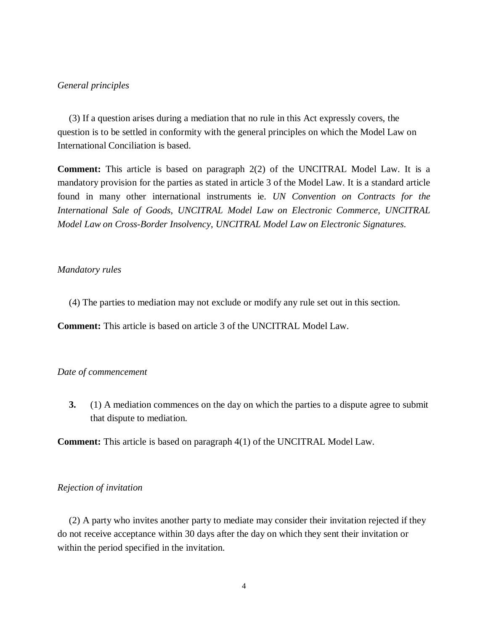## *General principles*

(3) If a question arises during a mediation that no rule in this Act expressly covers, the question is to be settled in conformity with the general principles on which the Model Law on International Conciliation is based.

**Comment:** This article is based on paragraph 2(2) of the UNCITRAL Model Law. It is a mandatory provision for the parties as stated in article 3 of the Model Law. It is a standard article found in many other international instruments ie. *UN Convention on Contracts for the International Sale of Goods*, *UNCITRAL Model Law on Electronic Commerce*, *UNCITRAL Model Law on Cross-Border Insolvency*, *UNCITRAL Model Law on Electronic Signatures*.

# *Mandatory rules*

(4) The parties to mediation may not exclude or modify any rule set out in this section.

**Comment:** This article is based on article 3 of the UNCITRAL Model Law.

## *Date of commencement*

**3.** (1) A mediation commences on the day on which the parties to a dispute agree to submit that dispute to mediation.

**Comment:** This article is based on paragraph 4(1) of the UNCITRAL Model Law.

### *Rejection of invitation*

(2) A party who invites another party to mediate may consider their invitation rejected if they do not receive acceptance within 30 days after the day on which they sent their invitation or within the period specified in the invitation.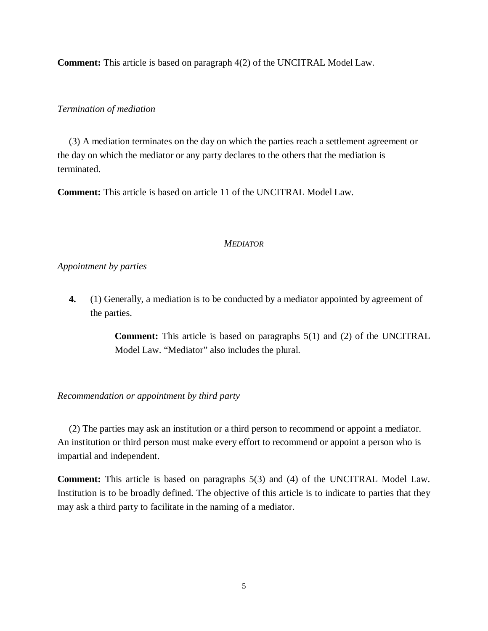**Comment:** This article is based on paragraph 4(2) of the UNCITRAL Model Law.

### *Termination of mediation*

(3) A mediation terminates on the day on which the parties reach a settlement agreement or the day on which the mediator or any party declares to the others that the mediation is terminated.

**Comment:** This article is based on article 11 of the UNCITRAL Model Law.

# *MEDIATOR*

# *Appointment by parties*

**4.** (1) Generally, a mediation is to be conducted by a mediator appointed by agreement of the parties.

> **Comment:** This article is based on paragraphs 5(1) and (2) of the UNCITRAL Model Law. "Mediator" also includes the plural.

# *Recommendation or appointment by third party*

(2) The parties may ask an institution or a third person to recommend or appoint a mediator. An institution or third person must make every effort to recommend or appoint a person who is impartial and independent.

**Comment:** This article is based on paragraphs 5(3) and (4) of the UNCITRAL Model Law. Institution is to be broadly defined. The objective of this article is to indicate to parties that they may ask a third party to facilitate in the naming of a mediator.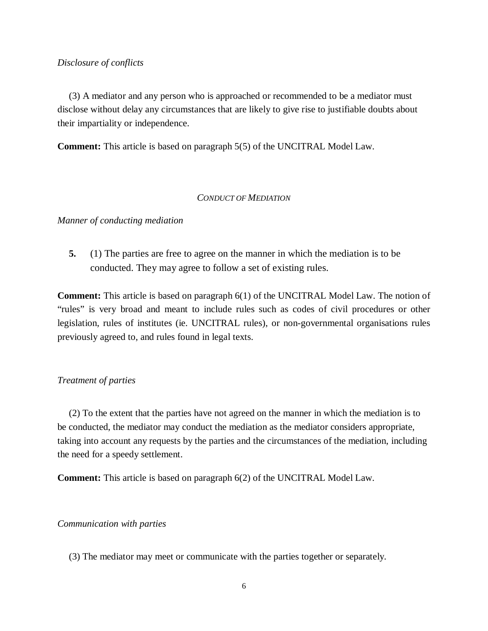# *Disclosure of conflicts*

(3) A mediator and any person who is approached or recommended to be a mediator must disclose without delay any circumstances that are likely to give rise to justifiable doubts about their impartiality or independence.

**Comment:** This article is based on paragraph 5(5) of the UNCITRAL Model Law.

### *CONDUCT OF MEDIATION*

*Manner of conducting mediation*

**5.** (1) The parties are free to agree on the manner in which the mediation is to be conducted. They may agree to follow a set of existing rules.

**Comment:** This article is based on paragraph 6(1) of the UNCITRAL Model Law. The notion of "rules" is very broad and meant to include rules such as codes of civil procedures or other legislation, rules of institutes (ie. UNCITRAL rules), or non-governmental organisations rules previously agreed to, and rules found in legal texts.

# *Treatment of parties*

(2) To the extent that the parties have not agreed on the manner in which the mediation is to be conducted, the mediator may conduct the mediation as the mediator considers appropriate, taking into account any requests by the parties and the circumstances of the mediation, including the need for a speedy settlement.

**Comment:** This article is based on paragraph 6(2) of the UNCITRAL Model Law.

### *Communication with parties*

(3) The mediator may meet or communicate with the parties together or separately.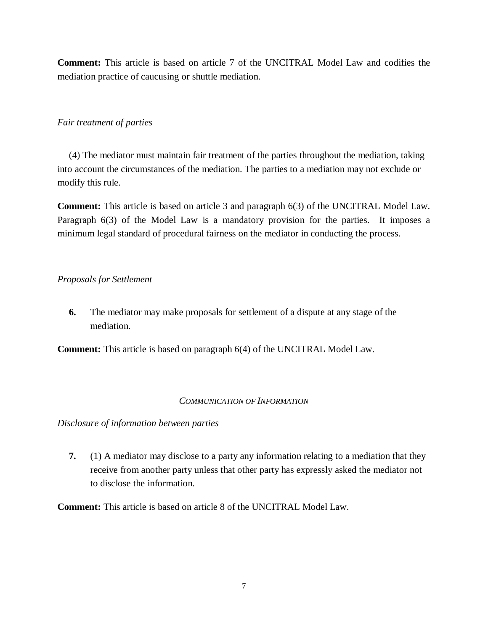**Comment:** This article is based on article 7 of the UNCITRAL Model Law and codifies the mediation practice of caucusing or shuttle mediation.

# *Fair treatment of parties*

(4) The mediator must maintain fair treatment of the parties throughout the mediation, taking into account the circumstances of the mediation. The parties to a mediation may not exclude or modify this rule.

**Comment:** This article is based on article 3 and paragraph 6(3) of the UNCITRAL Model Law. Paragraph 6(3) of the Model Law is a mandatory provision for the parties. It imposes a minimum legal standard of procedural fairness on the mediator in conducting the process.

# *Proposals for Settlement*

**6.** The mediator may make proposals for settlement of a dispute at any stage of the mediation.

**Comment:** This article is based on paragraph 6(4) of the UNCITRAL Model Law.

# *COMMUNICATION OF INFORMATION*

*Disclosure of information between parties*

**7.** (1) A mediator may disclose to a party any information relating to a mediation that they receive from another party unless that other party has expressly asked the mediator not to disclose the information.

**Comment:** This article is based on article 8 of the UNCITRAL Model Law.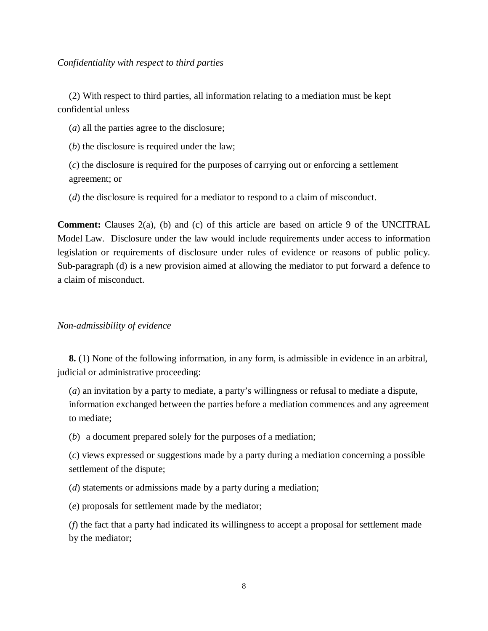(2) With respect to third parties, all information relating to a mediation must be kept confidential unless

(*a*) all the parties agree to the disclosure;

(*b*) the disclosure is required under the law;

(*c*) the disclosure is required for the purposes of carrying out or enforcing a settlement agreement; or

(*d*) the disclosure is required for a mediator to respond to a claim of misconduct.

**Comment:** Clauses 2(a), (b) and (c) of this article are based on article 9 of the UNCITRAL Model Law. Disclosure under the law would include requirements under access to information legislation or requirements of disclosure under rules of evidence or reasons of public policy. Sub-paragraph (d) is a new provision aimed at allowing the mediator to put forward a defence to a claim of misconduct.

# *Non-admissibility of evidence*

**8.** (1) None of the following information, in any form, is admissible in evidence in an arbitral, judicial or administrative proceeding:

(*a*) an invitation by a party to mediate, a party's willingness or refusal to mediate a dispute, information exchanged between the parties before a mediation commences and any agreement to mediate;

(*b*) a document prepared solely for the purposes of a mediation;

(*c*) views expressed or suggestions made by a party during a mediation concerning a possible settlement of the dispute;

(*d*) statements or admissions made by a party during a mediation;

(*e*) proposals for settlement made by the mediator;

(*f*) the fact that a party had indicated its willingness to accept a proposal for settlement made by the mediator;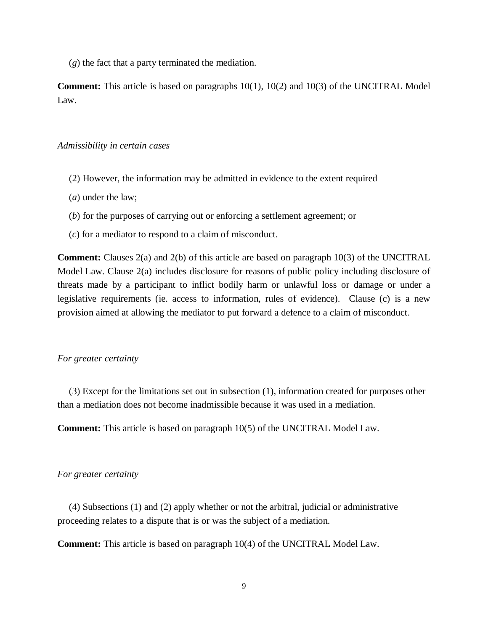(*g*) the fact that a party terminated the mediation.

**Comment:** This article is based on paragraphs 10(1), 10(2) and 10(3) of the UNCITRAL Model Law.

## *Admissibility in certain cases*

- (2) However, the information may be admitted in evidence to the extent required
- (*a*) under the law;
- (*b*) for the purposes of carrying out or enforcing a settlement agreement; or
- (*c*) for a mediator to respond to a claim of misconduct.

**Comment:** Clauses 2(a) and 2(b) of this article are based on paragraph 10(3) of the UNCITRAL Model Law. Clause 2(a) includes disclosure for reasons of public policy including disclosure of threats made by a participant to inflict bodily harm or unlawful loss or damage or under a legislative requirements (ie. access to information, rules of evidence). Clause (c) is a new provision aimed at allowing the mediator to put forward a defence to a claim of misconduct.

# *For greater certainty*

(3) Except for the limitations set out in subsection (1), information created for purposes other than a mediation does not become inadmissible because it was used in a mediation.

**Comment:** This article is based on paragraph 10(5) of the UNCITRAL Model Law.

#### *For greater certainty*

(4) Subsections (1) and (2) apply whether or not the arbitral, judicial or administrative proceeding relates to a dispute that is or was the subject of a mediation.

**Comment:** This article is based on paragraph 10(4) of the UNCITRAL Model Law.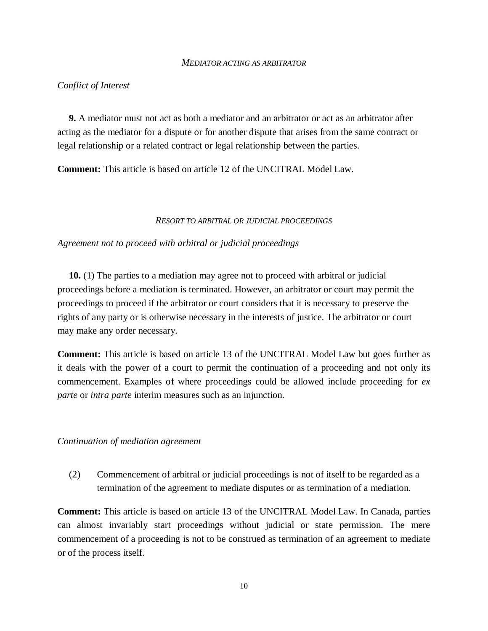#### *MEDIATOR ACTING AS ARBITRATOR*

#### *Conflict of Interest*

**9.** A mediator must not act as both a mediator and an arbitrator or act as an arbitrator after acting as the mediator for a dispute or for another dispute that arises from the same contract or legal relationship or a related contract or legal relationship between the parties.

**Comment:** This article is based on article 12 of the UNCITRAL Model Law.

#### *RESORT TO ARBITRAL OR JUDICIAL PROCEEDINGS*

#### *Agreement not to proceed with arbitral or judicial proceedings*

**10.** (1) The parties to a mediation may agree not to proceed with arbitral or judicial proceedings before a mediation is terminated. However, an arbitrator or court may permit the proceedings to proceed if the arbitrator or court considers that it is necessary to preserve the rights of any party or is otherwise necessary in the interests of justice. The arbitrator or court may make any order necessary.

**Comment:** This article is based on article 13 of the UNCITRAL Model Law but goes further as it deals with the power of a court to permit the continuation of a proceeding and not only its commencement. Examples of where proceedings could be allowed include proceeding for *ex parte* or *intra parte* interim measures such as an injunction.

#### *Continuation of mediation agreement*

(2) Commencement of arbitral or judicial proceedings is not of itself to be regarded as a termination of the agreement to mediate disputes or as termination of a mediation.

**Comment:** This article is based on article 13 of the UNCITRAL Model Law. In Canada, parties can almost invariably start proceedings without judicial or state permission. The mere commencement of a proceeding is not to be construed as termination of an agreement to mediate or of the process itself.